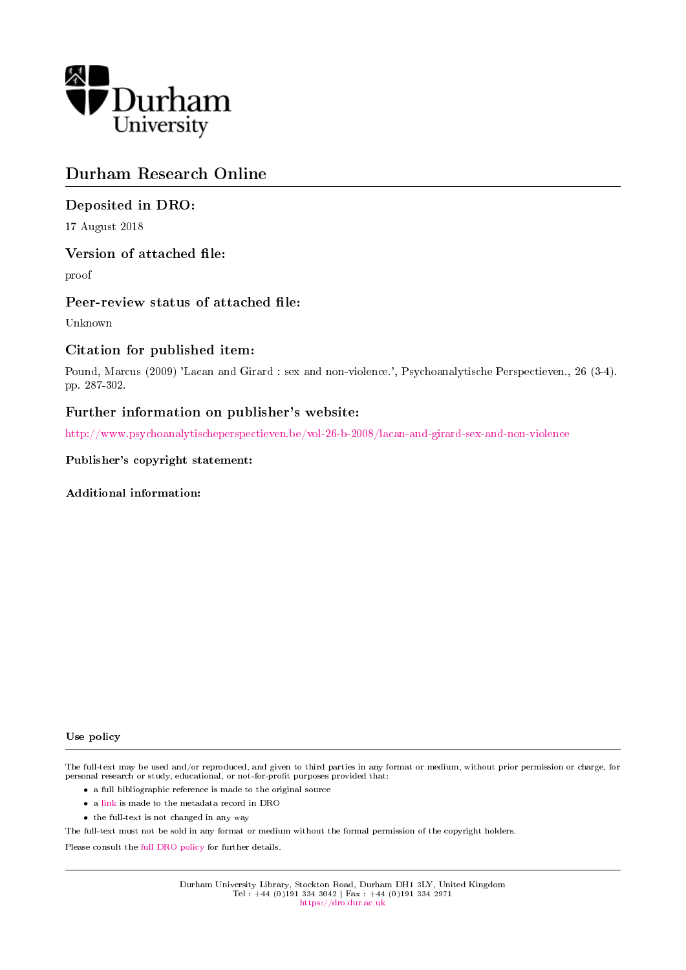

# Durham Research Online

## Deposited in DRO:

17 August 2018

## Version of attached file:

proof

## Peer-review status of attached file:

Unknown

## Citation for published item:

Pound, Marcus (2009) 'Lacan and Girard : sex and non-violence.', Psychoanalytische Perspectieven., 26 (3-4). pp. 287-302.

# Further information on publisher's website:

<http://www.psychoanalytischeperspectieven.be/vol-26-b-2008/lacan-and-girard-sex-and-non-violence>

### Publisher's copyright statement:

Additional information:

#### Use policy

The full-text may be used and/or reproduced, and given to third parties in any format or medium, without prior permission or charge, for personal research or study, educational, or not-for-profit purposes provided that:

- a full bibliographic reference is made to the original source
- a [link](http://dro.dur.ac.uk/25936/) is made to the metadata record in DRO
- the full-text is not changed in any way

The full-text must not be sold in any format or medium without the formal permission of the copyright holders.

Please consult the [full DRO policy](https://dro.dur.ac.uk/policies/usepolicy.pdf) for further details.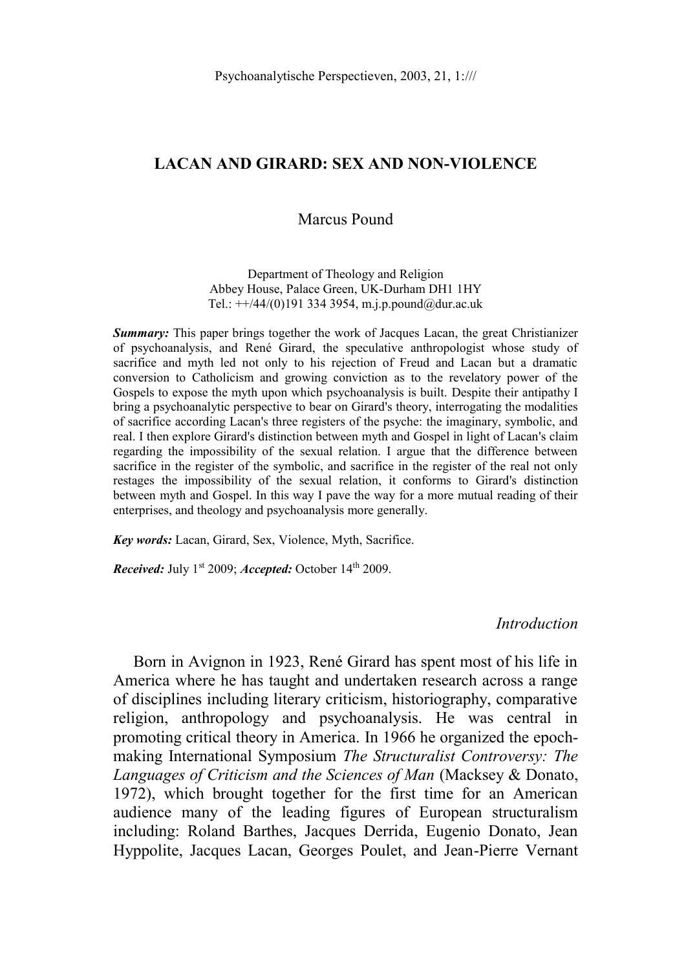### **LACAN AND GIRARD: SEX AND NON-VIOLENCE**

### Marcus Pound

Department of Theology and Religion Abbey House, Palace Green, UK-Durham DH1 1HY Tel.:  $\pm\frac{1}{44/(0)}$ 191 334 3954, m.j.p.pound@dur.ac.uk

*Summary:* This paper brings together the work of Jacques Lacan, the great Christianizer of psychoanalysis, and René Girard, the speculative anthropologist whose study of sacrifice and myth led not only to his rejection of Freud and Lacan but a dramatic conversion to Catholicism and growing conviction as to the revelatory power of the Gospels to expose the myth upon which psychoanalysis is built. Despite their antipathy I bring a psychoanalytic perspective to bear on Girard's theory, interrogating the modalities of sacrifice according Lacan's three registers of the psyche: the imaginary, symbolic, and real. I then explore Girard's distinction between myth and Gospel in light of Lacan's claim regarding the impossibility of the sexual relation. I argue that the difference between sacrifice in the register of the symbolic, and sacrifice in the register of the real not only restages the impossibility of the sexual relation, it conforms to Girard's distinction between myth and Gospel. In this way I pave the way for a more mutual reading of their enterprises, and theology and psychoanalysis more generally.

*Key words:* Lacan, Girard, Sex, Violence, Myth, Sacrifice.

*Received:* July 1<sup>st</sup> 2009; *Accepted:* October 14<sup>th</sup> 2009.

*Introduction*

Born in Avignon in 1923, René Girard has spent most of his life in America where he has taught and undertaken research across a range of disciplines including literary criticism, historiography, comparative religion, anthropology and psychoanalysis. He was central in promoting critical theory in America. In 1966 he organized the epochmaking International Symposium *The Structuralist Controversy: The Languages of Criticism and the Sciences of Man* (Macksey & Donato, 1972), which brought together for the first time for an American audience many of the leading figures of European structuralism including: Roland Barthes, Jacques Derrida, Eugenio Donato, Jean Hyppolite, Jacques Lacan, Georges Poulet, and Jean-Pierre Vernant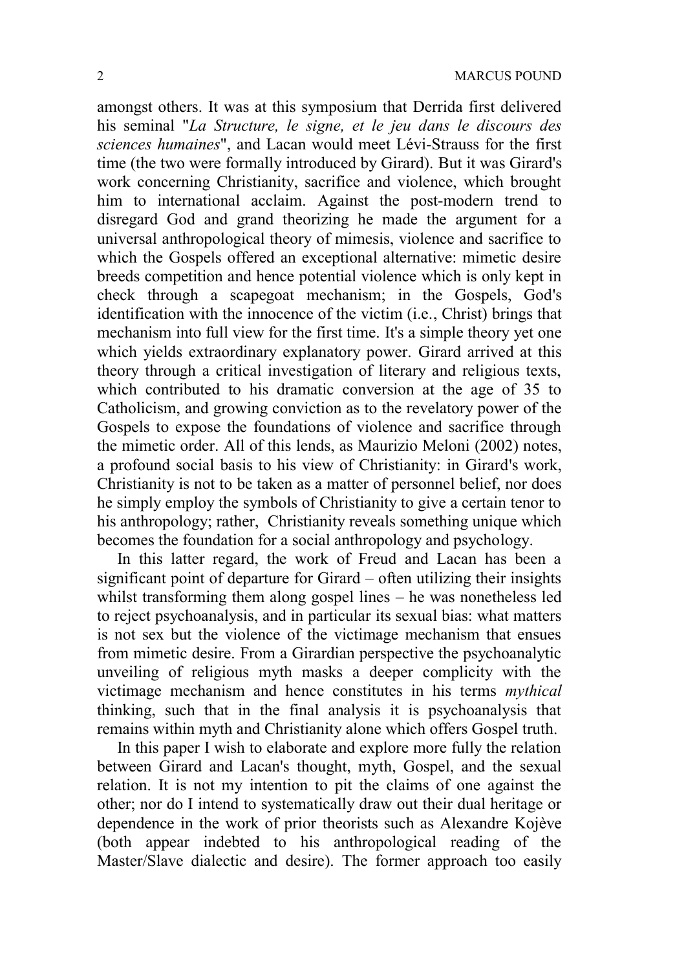amongst others. It was at this symposium that Derrida first delivered his seminal "*La Structure, le signe, et le jeu dans le discours des sciences humaines*", and Lacan would meet Lévi-Strauss for the first time (the two were formally introduced by Girard). But it was Girard's work concerning Christianity, sacrifice and violence, which brought him to international acclaim. Against the post-modern trend to disregard God and grand theorizing he made the argument for a universal anthropological theory of mimesis, violence and sacrifice to which the Gospels offered an exceptional alternative: mimetic desire breeds competition and hence potential violence which is only kept in check through a scapegoat mechanism; in the Gospels, God's identification with the innocence of the victim (i.e., Christ) brings that mechanism into full view for the first time. It's a simple theory yet one which yields extraordinary explanatory power. Girard arrived at this theory through a critical investigation of literary and religious texts, which contributed to his dramatic conversion at the age of 35 to Catholicism, and growing conviction as to the revelatory power of the Gospels to expose the foundations of violence and sacrifice through the mimetic order. All of this lends, as Maurizio Meloni (2002) notes, a profound social basis to his view of Christianity: in Girard's work, Christianity is not to be taken as a matter of personnel belief, nor does he simply employ the symbols of Christianity to give a certain tenor to his anthropology; rather, Christianity reveals something unique which becomes the foundation for a social anthropology and psychology.

In this latter regard, the work of Freud and Lacan has been a significant point of departure for Girard – often utilizing their insights whilst transforming them along gospel lines – he was nonetheless led to reject psychoanalysis, and in particular its sexual bias: what matters is not sex but the violence of the victimage mechanism that ensues from mimetic desire. From a Girardian perspective the psychoanalytic unveiling of religious myth masks a deeper complicity with the victimage mechanism and hence constitutes in his terms *mythical* thinking, such that in the final analysis it is psychoanalysis that remains within myth and Christianity alone which offers Gospel truth.

In this paper I wish to elaborate and explore more fully the relation between Girard and Lacan's thought, myth, Gospel, and the sexual relation. It is not my intention to pit the claims of one against the other; nor do I intend to systematically draw out their dual heritage or dependence in the work of prior theorists such as Alexandre Kojève (both appear indebted to his anthropological reading of the Master/Slave dialectic and desire). The former approach too easily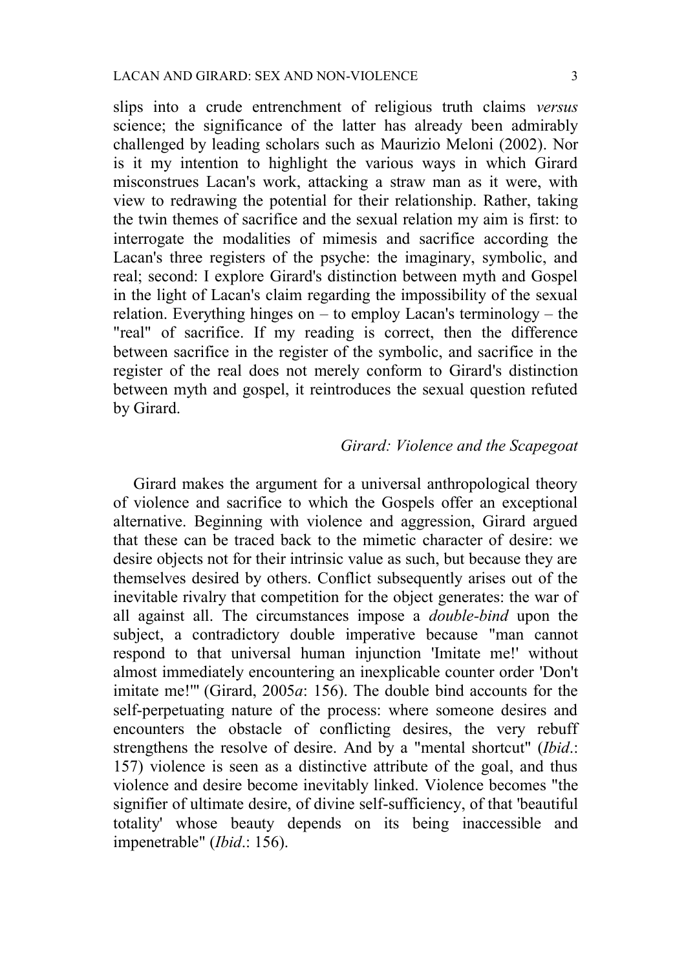slips into a crude entrenchment of religious truth claims *versus* science; the significance of the latter has already been admirably challenged by leading scholars such as Maurizio Meloni (2002). Nor is it my intention to highlight the various ways in which Girard misconstrues Lacan's work, attacking a straw man as it were, with view to redrawing the potential for their relationship. Rather, taking the twin themes of sacrifice and the sexual relation my aim is first: to interrogate the modalities of mimesis and sacrifice according the Lacan's three registers of the psyche: the imaginary, symbolic, and real; second: I explore Girard's distinction between myth and Gospel in the light of Lacan's claim regarding the impossibility of the sexual relation. Everything hinges on – to employ Lacan's terminology – the "real" of sacrifice. If my reading is correct, then the difference between sacrifice in the register of the symbolic, and sacrifice in the register of the real does not merely conform to Girard's distinction between myth and gospel, it reintroduces the sexual question refuted by Girard.

#### *Girard: Violence and the Scapegoat*

Girard makes the argument for a universal anthropological theory of violence and sacrifice to which the Gospels offer an exceptional alternative. Beginning with violence and aggression, Girard argued that these can be traced back to the mimetic character of desire: we desire objects not for their intrinsic value as such, but because they are themselves desired by others. Conflict subsequently arises out of the inevitable rivalry that competition for the object generates: the war of all against all. The circumstances impose a *double-bind* upon the subject, a contradictory double imperative because "man cannot respond to that universal human injunction 'Imitate me!' without almost immediately encountering an inexplicable counter order 'Don't imitate me!'" (Girard, 2005*a*: 156). The double bind accounts for the self-perpetuating nature of the process: where someone desires and encounters the obstacle of conflicting desires, the very rebuff strengthens the resolve of desire. And by a "mental shortcut" (*Ibid*.: 157) violence is seen as a distinctive attribute of the goal, and thus violence and desire become inevitably linked. Violence becomes "the signifier of ultimate desire, of divine self-sufficiency, of that 'beautiful totality' whose beauty depends on its being inaccessible and impenetrable" (*Ibid*.: 156).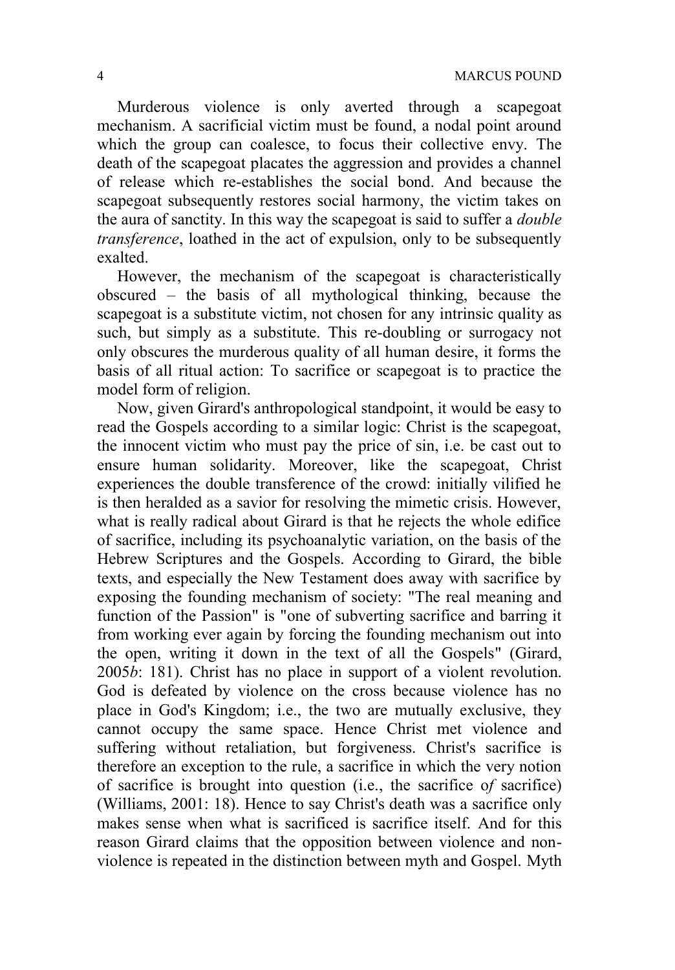Murderous violence is only averted through a scapegoat mechanism. A sacrificial victim must be found, a nodal point around which the group can coalesce, to focus their collective envy. The death of the scapegoat placates the aggression and provides a channel of release which re-establishes the social bond. And because the scapegoat subsequently restores social harmony, the victim takes on the aura of sanctity. In this way the scapegoat is said to suffer a *double transference*, loathed in the act of expulsion, only to be subsequently exalted.

However, the mechanism of the scapegoat is characteristically obscured – the basis of all mythological thinking, because the scapegoat is a substitute victim, not chosen for any intrinsic quality as such, but simply as a substitute. This re-doubling or surrogacy not only obscures the murderous quality of all human desire, it forms the basis of all ritual action: To sacrifice or scapegoat is to practice the model form of religion.

Now, given Girard's anthropological standpoint, it would be easy to read the Gospels according to a similar logic: Christ is the scapegoat, the innocent victim who must pay the price of sin, i.e. be cast out to ensure human solidarity. Moreover, like the scapegoat, Christ experiences the double transference of the crowd: initially vilified he is then heralded as a savior for resolving the mimetic crisis. However, what is really radical about Girard is that he rejects the whole edifice of sacrifice, including its psychoanalytic variation, on the basis of the Hebrew Scriptures and the Gospels. According to Girard, the bible texts, and especially the New Testament does away with sacrifice by exposing the founding mechanism of society: "The real meaning and function of the Passion" is "one of subverting sacrifice and barring it from working ever again by forcing the founding mechanism out into the open, writing it down in the text of all the Gospels" (Girard, 2005*b*: 181). Christ has no place in support of a violent revolution. God is defeated by violence on the cross because violence has no place in God's Kingdom; i.e., the two are mutually exclusive, they cannot occupy the same space. Hence Christ met violence and suffering without retaliation, but forgiveness. Christ's sacrifice is therefore an exception to the rule, a sacrifice in which the very notion of sacrifice is brought into question (i.e., the sacrifice o*f* sacrifice) (Williams, 2001: 18). Hence to say Christ's death was a sacrifice only makes sense when what is sacrificed is sacrifice itself. And for this reason Girard claims that the opposition between violence and nonviolence is repeated in the distinction between myth and Gospel. Myth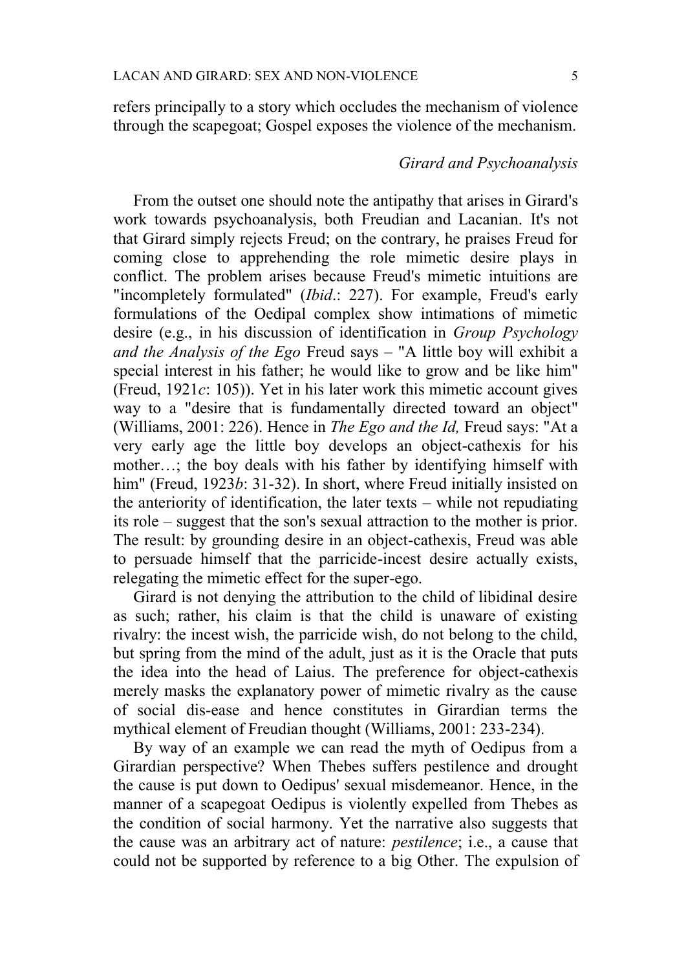refers principally to a story which occludes the mechanism of violence through the scapegoat; Gospel exposes the violence of the mechanism.

## *Girard and Psychoanalysis*

From the outset one should note the antipathy that arises in Girard's work towards psychoanalysis, both Freudian and Lacanian. It's not that Girard simply rejects Freud; on the contrary, he praises Freud for coming close to apprehending the role mimetic desire plays in conflict. The problem arises because Freud's mimetic intuitions are "incompletely formulated" (*Ibid*.: 227). For example, Freud's early formulations of the Oedipal complex show intimations of mimetic desire (e.g., in his discussion of identification in *Group Psychology and the Analysis of the Ego* Freud says – "A little boy will exhibit a special interest in his father; he would like to grow and be like him" (Freud, 1921*c*: 105)). Yet in his later work this mimetic account gives way to a "desire that is fundamentally directed toward an object" (Williams, 2001: 226). Hence in *The Ego and the Id,* Freud says: "At a very early age the little boy develops an object-cathexis for his mother…; the boy deals with his father by identifying himself with him" (Freud, 1923*b*: 31-32). In short, where Freud initially insisted on the anteriority of identification, the later texts – while not repudiating its role – suggest that the son's sexual attraction to the mother is prior. The result: by grounding desire in an object-cathexis, Freud was able to persuade himself that the parricide-incest desire actually exists, relegating the mimetic effect for the super-ego.

Girard is not denying the attribution to the child of libidinal desire as such; rather, his claim is that the child is unaware of existing rivalry: the incest wish, the parricide wish, do not belong to the child, but spring from the mind of the adult, just as it is the Oracle that puts the idea into the head of Laius. The preference for object-cathexis merely masks the explanatory power of mimetic rivalry as the cause of social dis-ease and hence constitutes in Girardian terms the mythical element of Freudian thought (Williams, 2001: 233-234).

By way of an example we can read the myth of Oedipus from a Girardian perspective? When Thebes suffers pestilence and drought the cause is put down to Oedipus' sexual misdemeanor. Hence, in the manner of a scapegoat Oedipus is violently expelled from Thebes as the condition of social harmony. Yet the narrative also suggests that the cause was an arbitrary act of nature: *pestilence*; i.e., a cause that could not be supported by reference to a big Other. The expulsion of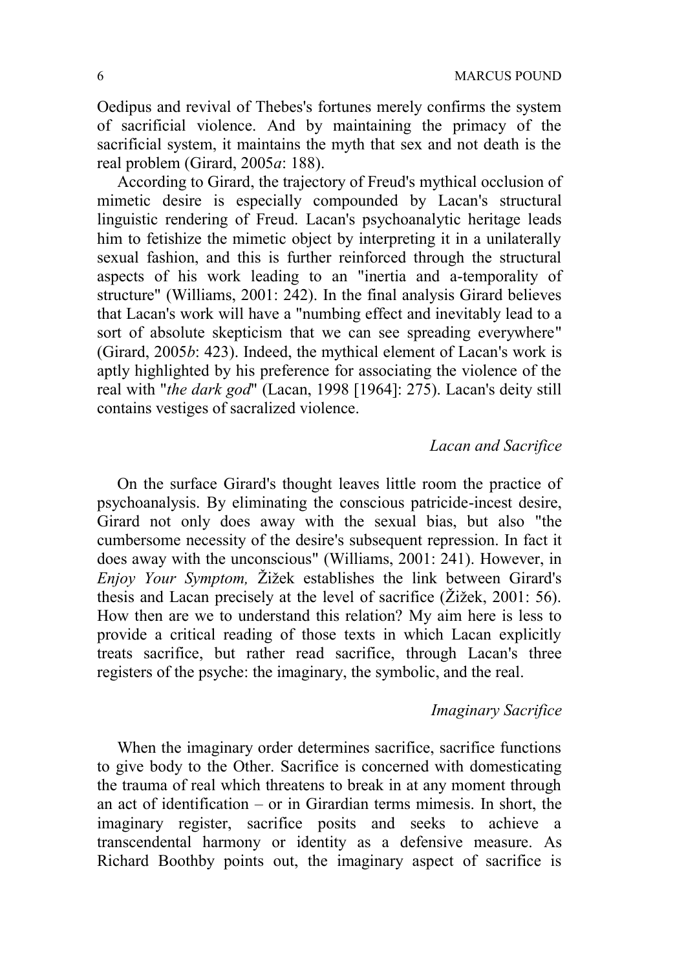Oedipus and revival of Thebes's fortunes merely confirms the system of sacrificial violence. And by maintaining the primacy of the sacrificial system, it maintains the myth that sex and not death is the real problem (Girard, 2005*a*: 188).

According to Girard, the trajectory of Freud's mythical occlusion of mimetic desire is especially compounded by Lacan's structural linguistic rendering of Freud. Lacan's psychoanalytic heritage leads him to fetishize the mimetic object by interpreting it in a unilaterally sexual fashion, and this is further reinforced through the structural aspects of his work leading to an "inertia and a-temporality of structure" (Williams, 2001: 242). In the final analysis Girard believes that Lacan's work will have a "numbing effect and inevitably lead to a sort of absolute skepticism that we can see spreading everywhere" (Girard, 2005*b*: 423). Indeed, the mythical element of Lacan's work is aptly highlighted by his preference for associating the violence of the real with "*the dark god*" (Lacan, 1998 [1964]: 275). Lacan's deity still contains vestiges of sacralized violence.

### *Lacan and Sacrifice*

On the surface Girard's thought leaves little room the practice of psychoanalysis. By eliminating the conscious patricide-incest desire, Girard not only does away with the sexual bias, but also "the cumbersome necessity of the desire's subsequent repression. In fact it does away with the unconscious" (Williams, 2001: 241). However, in *Enjoy Your Symptom,* Žižek establishes the link between Girard's thesis and Lacan precisely at the level of sacrifice (Žižek, 2001: 56). How then are we to understand this relation? My aim here is less to provide a critical reading of those texts in which Lacan explicitly treats sacrifice, but rather read sacrifice, through Lacan's three registers of the psyche: the imaginary, the symbolic, and the real.

#### *Imaginary Sacrifice*

When the imaginary order determines sacrifice, sacrifice functions to give body to the Other. Sacrifice is concerned with domesticating the trauma of real which threatens to break in at any moment through an act of identification – or in Girardian terms mimesis. In short, the imaginary register, sacrifice posits and seeks to achieve a transcendental harmony or identity as a defensive measure. As Richard Boothby points out, the imaginary aspect of sacrifice is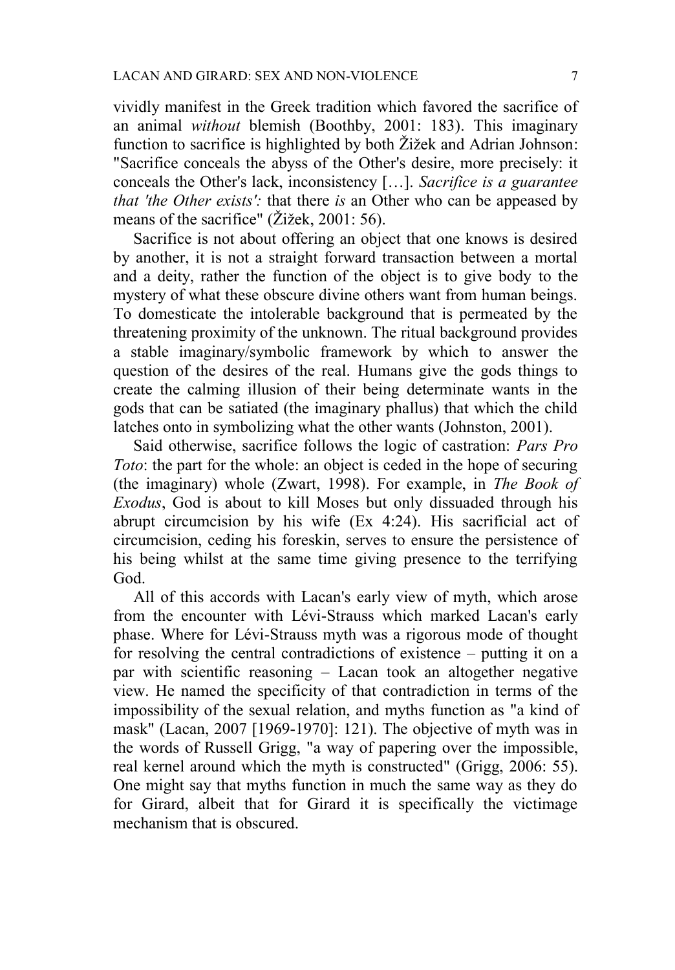vividly manifest in the Greek tradition which favored the sacrifice of an animal *without* blemish (Boothby, 2001: 183). This imaginary function to sacrifice is highlighted by both Žižek and Adrian Johnson: "Sacrifice conceals the abyss of the Other's desire, more precisely: it conceals the Other's lack, inconsistency […]. *Sacrifice is a guarantee that 'the Other exists':* that there *is* an Other who can be appeased by means of the sacrifice" (Žižek, 2001: 56).

Sacrifice is not about offering an object that one knows is desired by another, it is not a straight forward transaction between a mortal and a deity, rather the function of the object is to give body to the mystery of what these obscure divine others want from human beings. To domesticate the intolerable background that is permeated by the threatening proximity of the unknown. The ritual background provides a stable imaginary/symbolic framework by which to answer the question of the desires of the real. Humans give the gods things to create the calming illusion of their being determinate wants in the gods that can be satiated (the imaginary phallus) that which the child latches onto in symbolizing what the other wants (Johnston, 2001).

Said otherwise, sacrifice follows the logic of castration: *Pars Pro Toto*: the part for the whole: an object is ceded in the hope of securing (the imaginary) whole (Zwart, 1998). For example, in *The Book of Exodus*, God is about to kill Moses but only dissuaded through his abrupt circumcision by his wife (Ex 4:24). His sacrificial act of circumcision, ceding his foreskin, serves to ensure the persistence of his being whilst at the same time giving presence to the terrifying God.

All of this accords with Lacan's early view of myth, which arose from the encounter with Lévi-Strauss which marked Lacan's early phase. Where for Lévi-Strauss myth was a rigorous mode of thought for resolving the central contradictions of existence – putting it on a par with scientific reasoning – Lacan took an altogether negative view. He named the specificity of that contradiction in terms of the impossibility of the sexual relation, and myths function as "a kind of mask" (Lacan, 2007 [1969-1970]: 121). The objective of myth was in the words of Russell Grigg, "a way of papering over the impossible, real kernel around which the myth is constructed" (Grigg, 2006: 55). One might say that myths function in much the same way as they do for Girard, albeit that for Girard it is specifically the victimage mechanism that is obscured.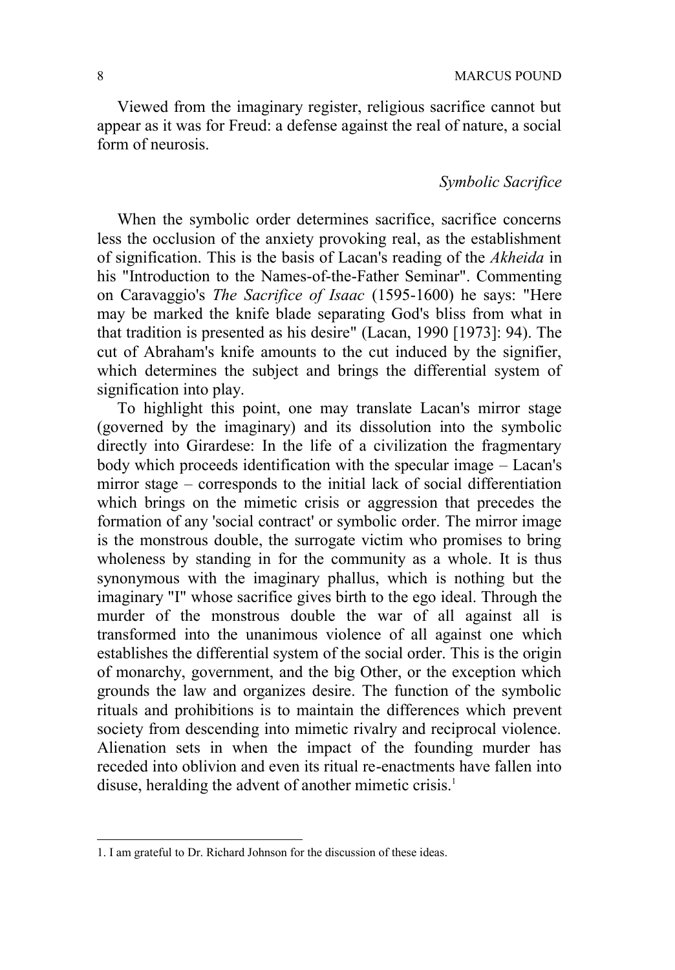Viewed from the imaginary register, religious sacrifice cannot but appear as it was for Freud: a defense against the real of nature, a social form of neurosis.

### *Symbolic Sacrifice*

When the symbolic order determines sacrifice, sacrifice concerns less the occlusion of the anxiety provoking real, as the establishment of signification. This is the basis of Lacan's reading of the *Akheida* in his "Introduction to the Names-of-the-Father Seminar". Commenting on Caravaggio's *The Sacrifice of Isaac* (1595-1600) he says: "Here may be marked the knife blade separating God's bliss from what in that tradition is presented as his desire" (Lacan, 1990 [1973]: 94). The cut of Abraham's knife amounts to the cut induced by the signifier, which determines the subject and brings the differential system of signification into play.

To highlight this point, one may translate Lacan's mirror stage (governed by the imaginary) and its dissolution into the symbolic directly into Girardese: In the life of a civilization the fragmentary body which proceeds identification with the specular image – Lacan's mirror stage – corresponds to the initial lack of social differentiation which brings on the mimetic crisis or aggression that precedes the formation of any 'social contract' or symbolic order. The mirror image is the monstrous double, the surrogate victim who promises to bring wholeness by standing in for the community as a whole. It is thus synonymous with the imaginary phallus, which is nothing but the imaginary "I" whose sacrifice gives birth to the ego ideal. Through the murder of the monstrous double the war of all against all is transformed into the unanimous violence of all against one which establishes the differential system of the social order. This is the origin of monarchy, government, and the big Other, or the exception which grounds the law and organizes desire. The function of the symbolic rituals and prohibitions is to maintain the differences which prevent society from descending into mimetic rivalry and reciprocal violence. Alienation sets in when the impact of the founding murder has receded into oblivion and even its ritual re-enactments have fallen into disuse, heralding the advent of another mimetic crisis.<sup>1</sup>

 $\overline{a}$ 

<sup>1.</sup> I am grateful to Dr. Richard Johnson for the discussion of these ideas.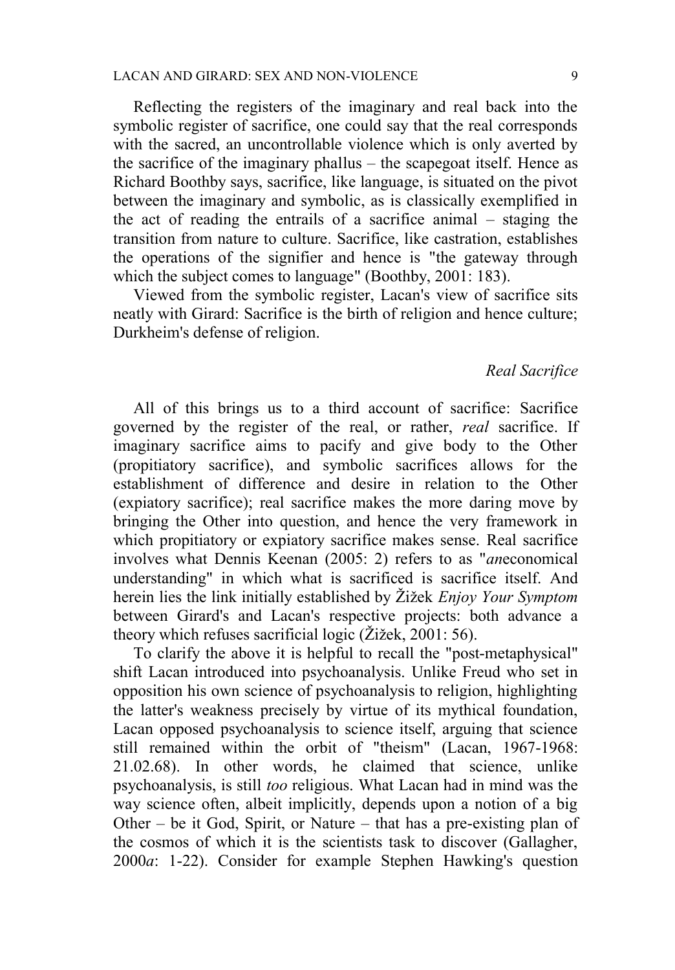Reflecting the registers of the imaginary and real back into the symbolic register of sacrifice, one could say that the real corresponds with the sacred, an uncontrollable violence which is only averted by the sacrifice of the imaginary phallus – the scapegoat itself. Hence as Richard Boothby says, sacrifice, like language, is situated on the pivot between the imaginary and symbolic, as is classically exemplified in the act of reading the entrails of a sacrifice animal – staging the transition from nature to culture. Sacrifice, like castration, establishes the operations of the signifier and hence is "the gateway through which the subject comes to language" (Boothby, 2001: 183).

Viewed from the symbolic register, Lacan's view of sacrifice sits neatly with Girard: Sacrifice is the birth of religion and hence culture; Durkheim's defense of religion.

#### *Real Sacrifice*

All of this brings us to a third account of sacrifice: Sacrifice governed by the register of the real, or rather, *real* sacrifice. If imaginary sacrifice aims to pacify and give body to the Other (propitiatory sacrifice), and symbolic sacrifices allows for the establishment of difference and desire in relation to the Other (expiatory sacrifice); real sacrifice makes the more daring move by bringing the Other into question, and hence the very framework in which propitiatory or expiatory sacrifice makes sense. Real sacrifice involves what Dennis Keenan (2005: 2) refers to as "*an*economical understanding" in which what is sacrificed is sacrifice itself. And herein lies the link initially established by Žižek *Enjoy Your Symptom* between Girard's and Lacan's respective projects: both advance a theory which refuses sacrificial logic (Žižek, 2001: 56).

To clarify the above it is helpful to recall the "post-metaphysical" shift Lacan introduced into psychoanalysis. Unlike Freud who set in opposition his own science of psychoanalysis to religion, highlighting the latter's weakness precisely by virtue of its mythical foundation, Lacan opposed psychoanalysis to science itself, arguing that science still remained within the orbit of "theism" (Lacan, 1967-1968: 21.02.68). In other words, he claimed that science, unlike psychoanalysis, is still *too* religious. What Lacan had in mind was the way science often, albeit implicitly, depends upon a notion of a big Other – be it God, Spirit, or Nature – that has a pre-existing plan of the cosmos of which it is the scientists task to discover (Gallagher, 2000*a*: 1-22). Consider for example Stephen Hawking's question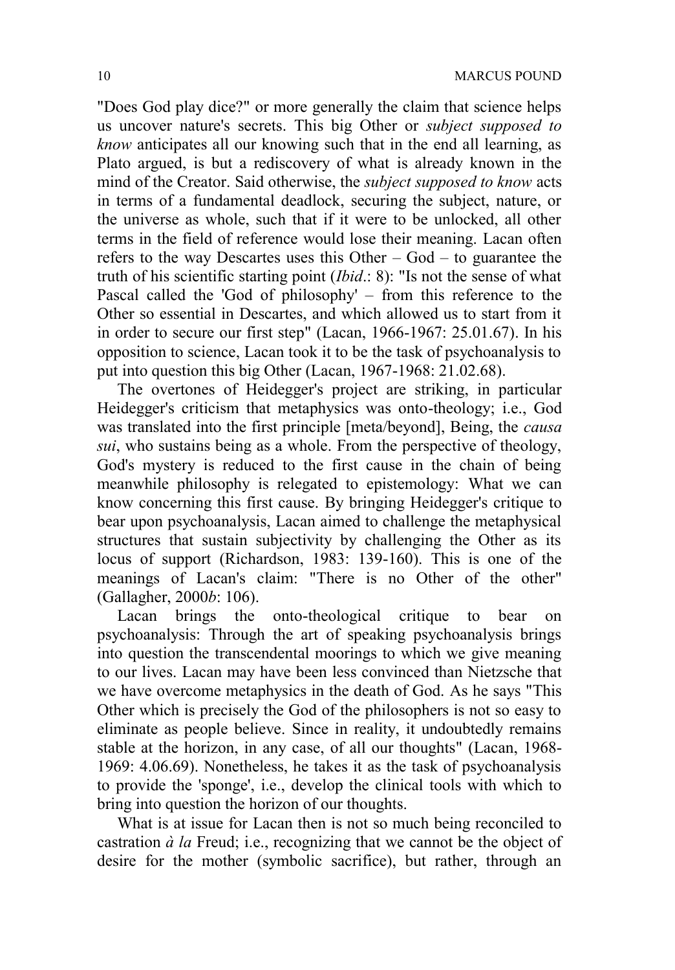"Does God play dice?" or more generally the claim that science helps us uncover nature's secrets. This big Other or *subject supposed to know* anticipates all our knowing such that in the end all learning, as Plato argued, is but a rediscovery of what is already known in the mind of the Creator. Said otherwise, the *subject supposed to know* acts in terms of a fundamental deadlock, securing the subject, nature, or the universe as whole, such that if it were to be unlocked, all other terms in the field of reference would lose their meaning. Lacan often refers to the way Descartes uses this Other – God – to guarantee the truth of his scientific starting point (*Ibid*.: 8): "Is not the sense of what Pascal called the 'God of philosophy' – from this reference to the Other so essential in Descartes, and which allowed us to start from it in order to secure our first step" (Lacan, 1966-1967: 25.01.67). In his opposition to science, Lacan took it to be the task of psychoanalysis to put into question this big Other (Lacan, 1967-1968: 21.02.68).

The overtones of Heidegger's project are striking, in particular Heidegger's criticism that metaphysics was onto-theology; i.e., God was translated into the first principle [meta/beyond], Being, the *causa sui*, who sustains being as a whole. From the perspective of theology, God's mystery is reduced to the first cause in the chain of being meanwhile philosophy is relegated to epistemology: What we can know concerning this first cause. By bringing Heidegger's critique to bear upon psychoanalysis, Lacan aimed to challenge the metaphysical structures that sustain subjectivity by challenging the Other as its locus of support (Richardson, 1983: 139-160). This is one of the meanings of Lacan's claim: "There is no Other of the other" (Gallagher, 2000*b*: 106).

Lacan brings the onto-theological critique to bear on psychoanalysis: Through the art of speaking psychoanalysis brings into question the transcendental moorings to which we give meaning to our lives. Lacan may have been less convinced than Nietzsche that we have overcome metaphysics in the death of God. As he says "This Other which is precisely the God of the philosophers is not so easy to eliminate as people believe. Since in reality, it undoubtedly remains stable at the horizon, in any case, of all our thoughts" (Lacan, 1968- 1969: 4.06.69). Nonetheless, he takes it as the task of psychoanalysis to provide the 'sponge', i.e., develop the clinical tools with which to bring into question the horizon of our thoughts.

What is at issue for Lacan then is not so much being reconciled to castration *à la* Freud; i.e., recognizing that we cannot be the object of desire for the mother (symbolic sacrifice), but rather, through an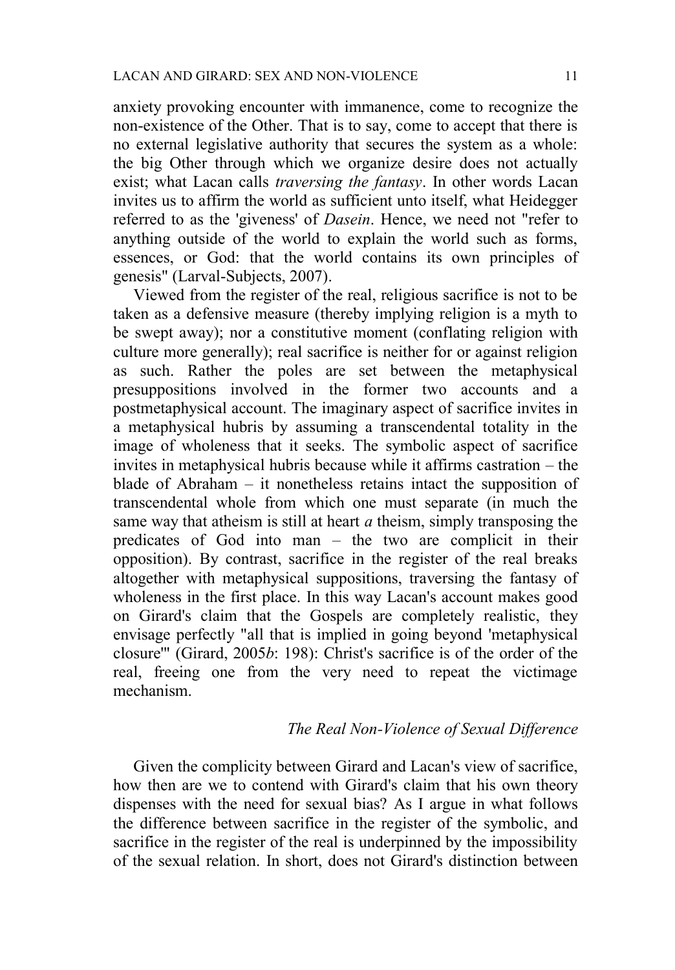anxiety provoking encounter with immanence, come to recognize the non-existence of the Other. That is to say, come to accept that there is no external legislative authority that secures the system as a whole: the big Other through which we organize desire does not actually exist; what Lacan calls *traversing the fantasy*. In other words Lacan invites us to affirm the world as sufficient unto itself, what Heidegger referred to as the 'giveness' of *Dasein*. Hence, we need not "refer to anything outside of the world to explain the world such as forms, essences, or God: that the world contains its own principles of genesis" (Larval-Subjects, 2007).

Viewed from the register of the real, religious sacrifice is not to be taken as a defensive measure (thereby implying religion is a myth to be swept away); nor a constitutive moment (conflating religion with culture more generally); real sacrifice is neither for or against religion as such. Rather the poles are set between the metaphysical presuppositions involved in the former two accounts and a postmetaphysical account. The imaginary aspect of sacrifice invites in a metaphysical hubris by assuming a transcendental totality in the image of wholeness that it seeks. The symbolic aspect of sacrifice invites in metaphysical hubris because while it affirms castration – the blade of Abraham – it nonetheless retains intact the supposition of transcendental whole from which one must separate (in much the same way that atheism is still at heart *a* theism, simply transposing the predicates of God into man – the two are complicit in their opposition). By contrast, sacrifice in the register of the real breaks altogether with metaphysical suppositions, traversing the fantasy of wholeness in the first place. In this way Lacan's account makes good on Girard's claim that the Gospels are completely realistic, they envisage perfectly "all that is implied in going beyond 'metaphysical closure'" (Girard, 2005*b*: 198): Christ's sacrifice is of the order of the real, freeing one from the very need to repeat the victimage mechanism.

#### *The Real Non-Violence of Sexual Difference*

Given the complicity between Girard and Lacan's view of sacrifice, how then are we to contend with Girard's claim that his own theory dispenses with the need for sexual bias? As I argue in what follows the difference between sacrifice in the register of the symbolic, and sacrifice in the register of the real is underpinned by the impossibility of the sexual relation. In short, does not Girard's distinction between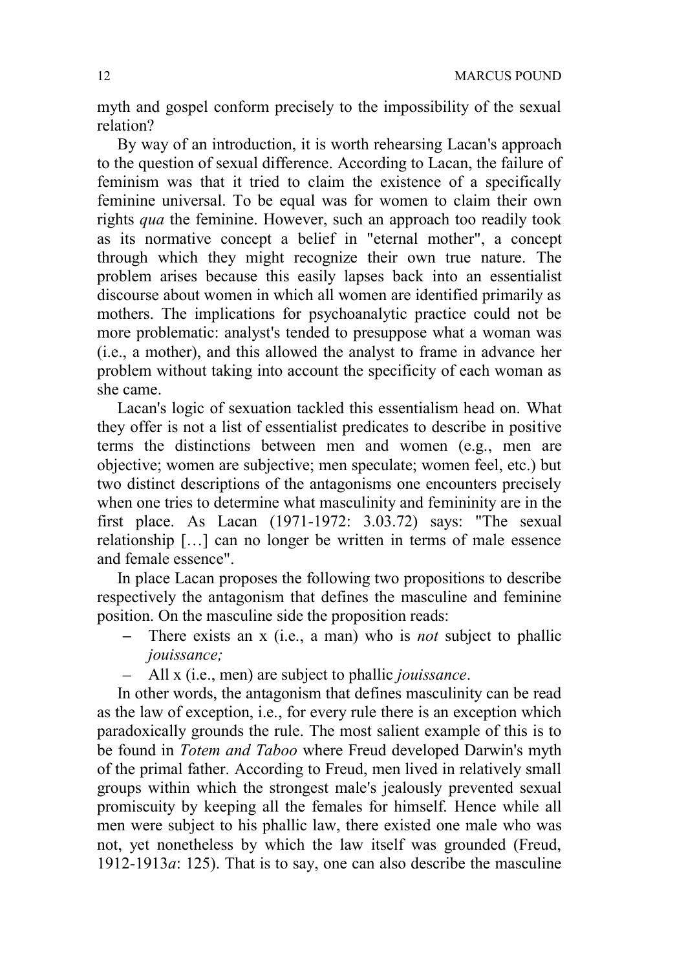myth and gospel conform precisely to the impossibility of the sexual relation?

By way of an introduction, it is worth rehearsing Lacan's approach to the question of sexual difference. According to Lacan, the failure of feminism was that it tried to claim the existence of a specifically feminine universal. To be equal was for women to claim their own rights *qua* the feminine. However, such an approach too readily took as its normative concept a belief in "eternal mother", a concept through which they might recognize their own true nature. The problem arises because this easily lapses back into an essentialist discourse about women in which all women are identified primarily as mothers. The implications for psychoanalytic practice could not be more problematic: analyst's tended to presuppose what a woman was (i.e., a mother), and this allowed the analyst to frame in advance her problem without taking into account the specificity of each woman as she came.

Lacan's logic of sexuation tackled this essentialism head on. What they offer is not a list of essentialist predicates to describe in positive terms the distinctions between men and women (e.g., men are objective; women are subjective; men speculate; women feel, etc.) but two distinct descriptions of the antagonisms one encounters precisely when one tries to determine what masculinity and femininity are in the first place. As Lacan (1971-1972: 3.03.72) says: "The sexual relationship […] can no longer be written in terms of male essence and female essence".

In place Lacan proposes the following two propositions to describe respectively the antagonism that defines the masculine and feminine position. On the masculine side the proposition reads:

- There exists an x (i.e., a man) who is *not* subject to phallic  $\equiv$ *jouissance;*
- All x (i.e., men) are subject to phallic *jouissance*.

In other words, the antagonism that defines masculinity can be read as the law of exception, i.e., for every rule there is an exception which paradoxically grounds the rule. The most salient example of this is to be found in *Totem and Taboo* where Freud developed Darwin's myth of the primal father. According to Freud, men lived in relatively small groups within which the strongest male's jealously prevented sexual promiscuity by keeping all the females for himself. Hence while all men were subject to his phallic law, there existed one male who was not, yet nonetheless by which the law itself was grounded (Freud, 1912-1913 $a$ : 125). That is to say, one can also describe the masculine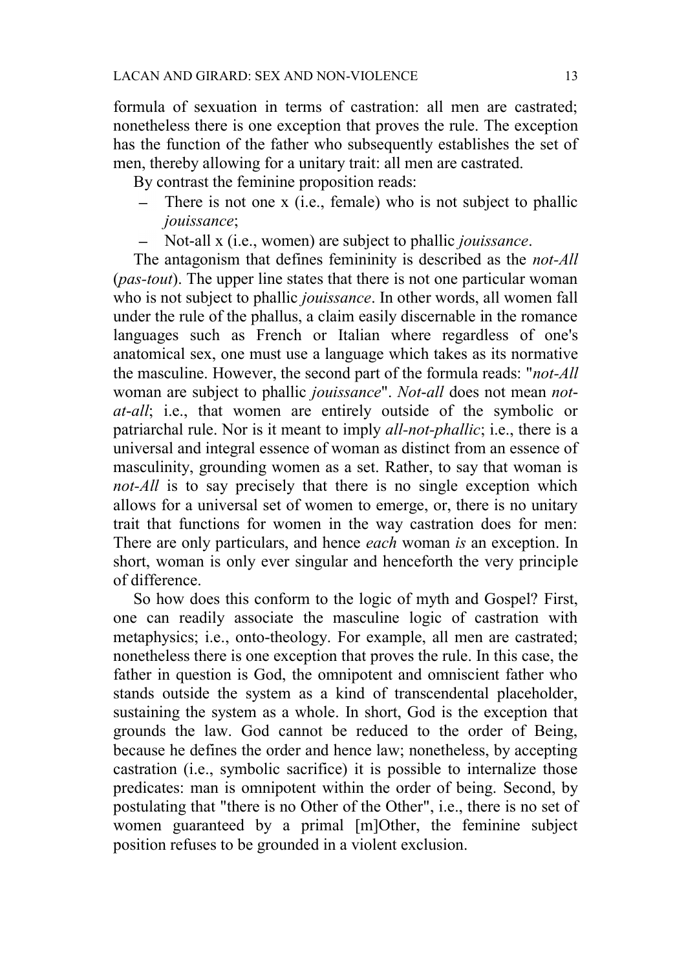formula of sexuation in terms of castration: all men are castrated; nonetheless there is one exception that proves the rule. The exception has the function of the father who subsequently establishes the set of men, thereby allowing for a unitary trait: all men are castrated.

By contrast the feminine proposition reads:

- $\equiv$ There is not one x (i.e., female) who is not subject to phallic *jouissance*;
- Not-all x (i.e., women) are subject to phallic *jouissance*.

The antagonism that defines femininity is described as the *not-All* (*pas-tout*). The upper line states that there is not one particular woman who is not subject to phallic *jouissance*. In other words, all women fall under the rule of the phallus, a claim easily discernable in the romance languages such as French or Italian where regardless of one's anatomical sex, one must use a language which takes as its normative the masculine. However, the second part of the formula reads: "*not-All* woman are subject to phallic *jouissance*". *Not*-*all* does not mean *notat*-*all*; i.e., that women are entirely outside of the symbolic or patriarchal rule. Nor is it meant to imply *all-not-phallic*; i.e., there is a universal and integral essence of woman as distinct from an essence of masculinity, grounding women as a set. Rather, to say that woman is *not-All* is to say precisely that there is no single exception which allows for a universal set of women to emerge, or, there is no unitary trait that functions for women in the way castration does for men: There are only particulars, and hence *each* woman *is* an exception. In short, woman is only ever singular and henceforth the very principle of difference.

So how does this conform to the logic of myth and Gospel? First, one can readily associate the masculine logic of castration with metaphysics; i.e., onto-theology. For example, all men are castrated; nonetheless there is one exception that proves the rule. In this case, the father in question is God, the omnipotent and omniscient father who stands outside the system as a kind of transcendental placeholder, sustaining the system as a whole. In short, God is the exception that grounds the law. God cannot be reduced to the order of Being, because he defines the order and hence law; nonetheless, by accepting castration (i.e., symbolic sacrifice) it is possible to internalize those predicates: man is omnipotent within the order of being. Second, by postulating that "there is no Other of the Other", i.e., there is no set of women guaranteed by a primal [m]Other, the feminine subject position refuses to be grounded in a violent exclusion.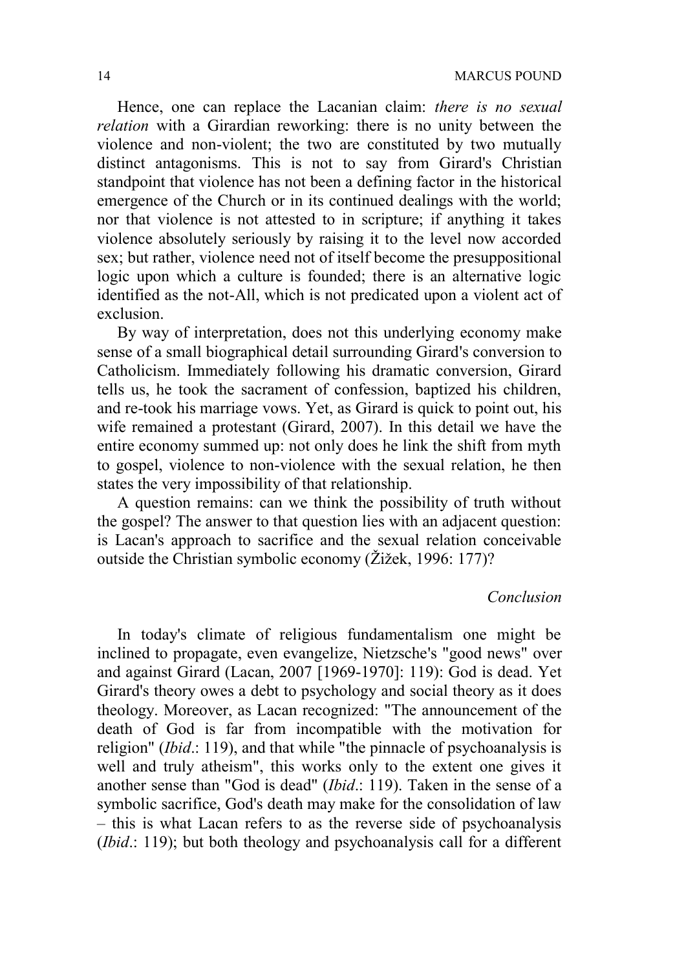Hence, one can replace the Lacanian claim: *there is no sexual relation* with a Girardian reworking: there is no unity between the violence and non-violent; the two are constituted by two mutually distinct antagonisms. This is not to say from Girard's Christian standpoint that violence has not been a defining factor in the historical emergence of the Church or in its continued dealings with the world; nor that violence is not attested to in scripture; if anything it takes violence absolutely seriously by raising it to the level now accorded sex; but rather, violence need not of itself become the presuppositional logic upon which a culture is founded; there is an alternative logic identified as the not-All, which is not predicated upon a violent act of exclusion.

By way of interpretation, does not this underlying economy make sense of a small biographical detail surrounding Girard's conversion to Catholicism. Immediately following his dramatic conversion, Girard tells us, he took the sacrament of confession, baptized his children, and re-took his marriage vows. Yet, as Girard is quick to point out, his wife remained a protestant (Girard, 2007). In this detail we have the entire economy summed up: not only does he link the shift from myth to gospel, violence to non-violence with the sexual relation, he then states the very impossibility of that relationship.

A question remains: can we think the possibility of truth without the gospel? The answer to that question lies with an adjacent question: is Lacan's approach to sacrifice and the sexual relation conceivable outside the Christian symbolic economy (Žižek, 1996: 177)?

#### *Conclusion*

In today's climate of religious fundamentalism one might be inclined to propagate, even evangelize, Nietzsche's "good news" over and against Girard (Lacan, 2007 [1969-1970]: 119): God is dead. Yet Girard's theory owes a debt to psychology and social theory as it does theology. Moreover, as Lacan recognized: "The announcement of the death of God is far from incompatible with the motivation for religion" (*Ibid*.: 119), and that while "the pinnacle of psychoanalysis is well and truly atheism", this works only to the extent one gives it another sense than "God is dead" (*Ibid*.: 119). Taken in the sense of a symbolic sacrifice, God's death may make for the consolidation of law – this is what Lacan refers to as the reverse side of psychoanalysis (*Ibid*.: 119); but both theology and psychoanalysis call for a different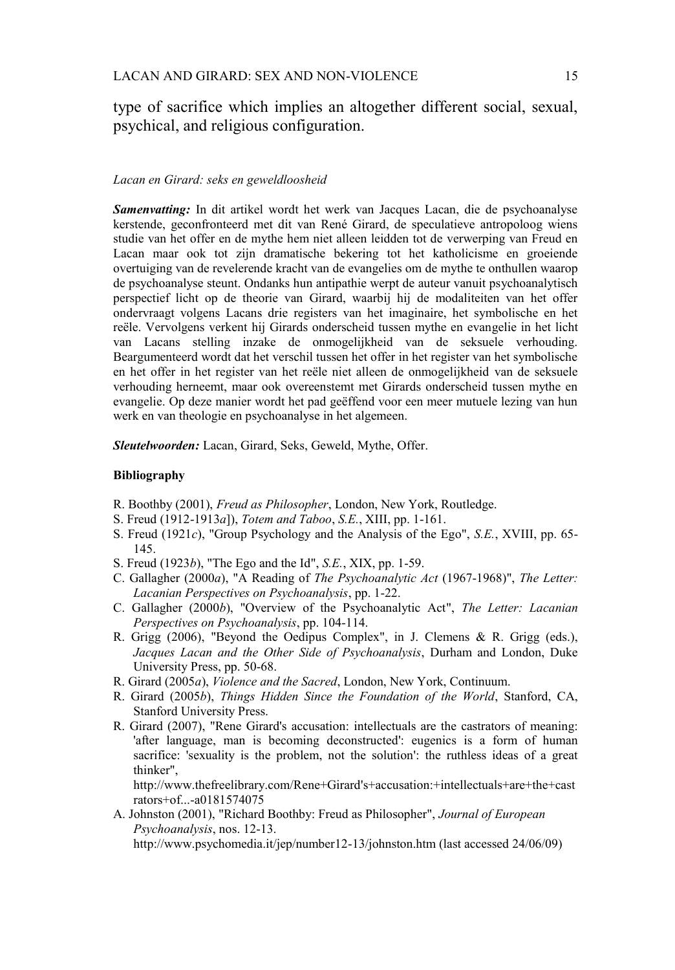type of sacrifice which implies an altogether different social, sexual, psychical, and religious configuration.

#### *Lacan en Girard: seks en geweldloosheid*

*Samenvatting:* In dit artikel wordt het werk van Jacques Lacan, die de psychoanalyse kerstende, geconfronteerd met dit van René Girard, de speculatieve antropoloog wiens studie van het offer en de mythe hem niet alleen leidden tot de verwerping van Freud en Lacan maar ook tot zijn dramatische bekering tot het katholicisme en groeiende overtuiging van de revelerende kracht van de evangelies om de mythe te onthullen waarop de psychoanalyse steunt. Ondanks hun antipathie werpt de auteur vanuit psychoanalytisch perspectief licht op de theorie van Girard, waarbij hij de modaliteiten van het offer ondervraagt volgens Lacans drie registers van het imaginaire, het symbolische en het reële. Vervolgens verkent hij Girards onderscheid tussen mythe en evangelie in het licht van Lacans stelling inzake de onmogelijkheid van de seksuele verhouding. Beargumenteerd wordt dat het verschil tussen het offer in het register van het symbolische en het offer in het register van het reële niet alleen de onmogelijkheid van de seksuele verhouding herneemt, maar ook overeenstemt met Girards onderscheid tussen mythe en evangelie. Op deze manier wordt het pad geëffend voor een meer mutuele lezing van hun werk en van theologie en psychoanalyse in het algemeen.

*Sleutelwoorden:* Lacan, Girard, Seks, Geweld, Mythe, Offer.

#### **Bibliography**

- R. Boothby (2001), *Freud as Philosopher*, London, New York, Routledge.
- S. Freud (1912-1913*a*]), *Totem and Taboo*, *S.E.*, XIII, pp. 1-161.
- S. Freud (1921*c*), "Group Psychology and the Analysis of the Ego", *S.E.*, XVIII, pp. 65- 145.
- S. Freud (1923*b*), "The Ego and the Id", *S.E.*, XIX, pp. 1-59.
- C. Gallagher (2000*a*), "A Reading of *The Psychoanalytic Act* (1967-1968)", *The Letter: Lacanian Perspectives on Psychoanalysis*, pp. 1-22.
- C. Gallagher (2000*b*), "Overview of the Psychoanalytic Act", *The Letter: Lacanian Perspectives on Psychoanalysis*, pp. 104-114.
- R. Grigg (2006), "Beyond the Oedipus Complex", in J. Clemens & R. Grigg (eds.), *Jacques Lacan and the Other Side of Psychoanalysis*, Durham and London, Duke University Press, pp. 50-68.
- R. Girard (2005*a*), *Violence and the Sacred*, London, New York, Continuum.
- R. Girard (2005*b*), *Things Hidden Since the Foundation of the World*, Stanford, CA, Stanford University Press.
- R. Girard (2007), "Rene Girard's accusation: intellectuals are the castrators of meaning: 'after language, man is becoming deconstructed': eugenics is a form of human sacrifice: 'sexuality is the problem, not the solution': the ruthless ideas of a great thinker",

http://www.thefreelibrary.com/Rene+Girard's+accusation:+intellectuals+are+the+cast rators+of...-a0181574075

A. Johnston (2001), "Richard Boothby: Freud as Philosopher", *Journal of European Psychoanalysis*, nos. 12-13.

http://www.psychomedia.it/jep/number12-13/johnston.htm (last accessed 24/06/09)